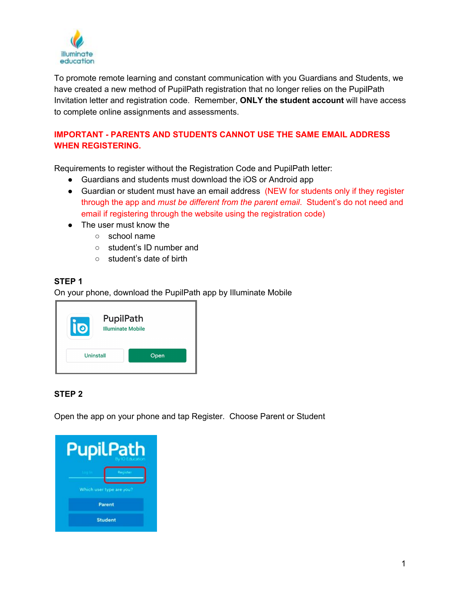

To promote remote learning and constant communication with you Guardians and Students, we have created a new method of PupilPath registration that no longer relies on the PupilPath Invitation letter and registration code. Remember, **ONLY the student account** will have access to complete online assignments and assessments.

## **IMPORTANT - PARENTS AND STUDENTS CANNOT USE THE SAME EMAIL ADDRESS WHEN REGISTERING.**

Requirements to register without the Registration Code and PupilPath letter:

- Guardians and students must download the iOS or Android app
- Guardian or student must have an email address (NEW for students only if they register through the app and *must be different from the parent email*. Student's do not need and email if registering through the website using the registration code)
- The user must know the
	- school name
	- student's ID number and
	- student's date of birth

#### **STEP 1**

On your phone, download the PupilPath app by Illuminate Mobile

#### **STEP 2**

Open the app on your phone and tap Register. Choose Parent or Student

| upilPath                 |          |
|--------------------------|----------|
|                          | Register |
| Which user type are you? |          |
| <b>Parent</b>            |          |
| <b>Student</b>           |          |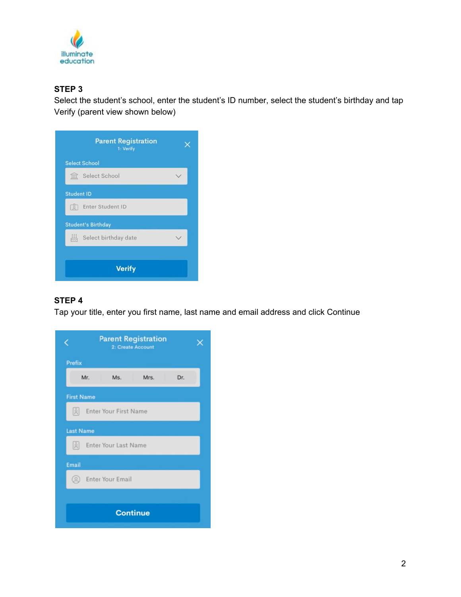

## **STEP 3**

Select the student's school, enter the student's ID number, select the student's birthday and tap Verify (parent view shown below)



#### **STEP 4**

Tap your title, enter you first name, last name and email address and click Continue

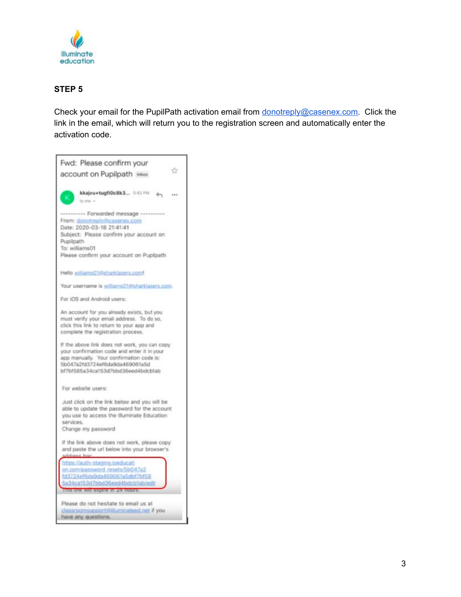

## **STEP 5**

Check your email for the PupilPath activation email from **[donotreply@casenex.com.](mailto:donotreply@casenex.com)** Click the link in the email, which will return you to the registration screen and automatically enter the activation code.